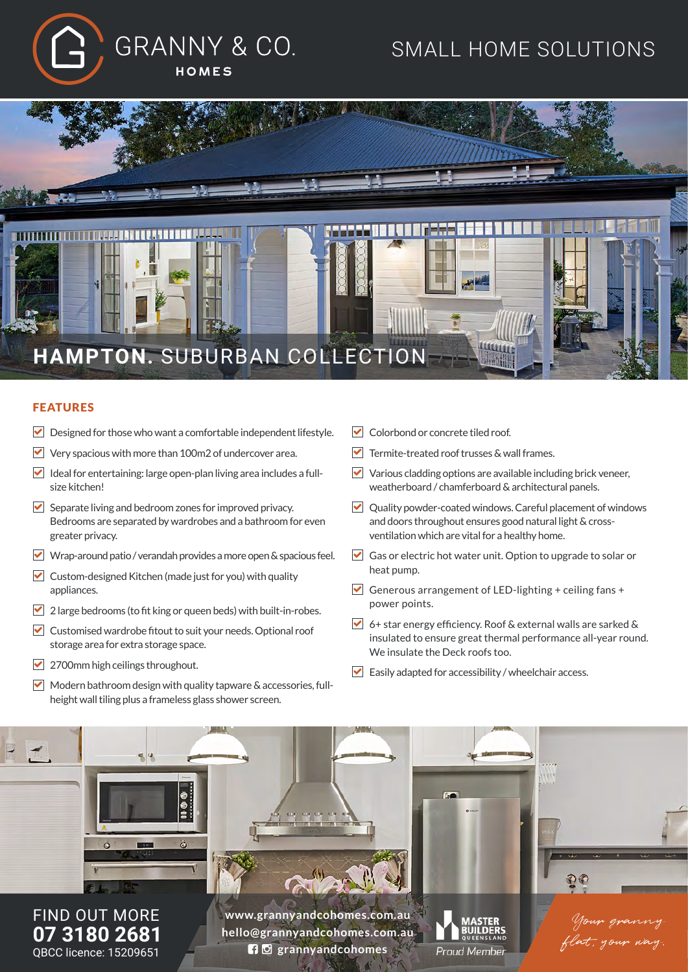

# SMALL HOME SOLUTIONS



#### FEATURES

- $\triangleright$  Designed for those who want a comfortable independent lifestyle.
- $\triangledown$  Very spacious with more than 100m2 of undercover area.
- $\blacktriangleright$  Ideal for entertaining: large open-plan living area includes a fullsize kitchen!
- $\blacktriangleright$  Separate living and bedroom zones for improved privacy. Bedrooms are separated by wardrobes and a bathroom for even greater privacy.
- Wrap-around patio / verandah provides a more open & spacious feel.
- $\triangledown$  Custom-designed Kitchen (made just for you) with quality appliances.
- $\triangledown$  2 large bedrooms (to fit king or queen beds) with built-in-robes.
- $\triangledown$  Customised wardrobe fitout to suit your needs. Optional roof storage area for extra storage space.
- $\triangledown$  2700mm high ceilings throughout.
- $\vee$  Modern bathroom design with quality tapware & accessories, fullheight wall tiling plus a frameless glass shower screen.
- $\triangledown$  Colorbond or concrete tiled roof.
- $\nabla$  Termite-treated roof trusses & wall frames.
- $\triangledown$  Various cladding options are available including brick veneer, weatherboard / chamferboard & architectural panels.
- Quality powder-coated windows. Careful placement of windows and doors throughout ensures good natural light & crossventilation which are vital for a healthy home.
- Gas or electric hot water unit. Option to upgrade to solar or heat pump.
- Generous arrangement of LED-lighting + ceiling fans + power points.
- 6+ star energy efficiency. Roof & external walls are sarked & insulated to ensure great thermal performance all-year round. We insulate the Deck roofs too.
- $\triangleright$  Easily adapted for accessibility / wheelchair access.